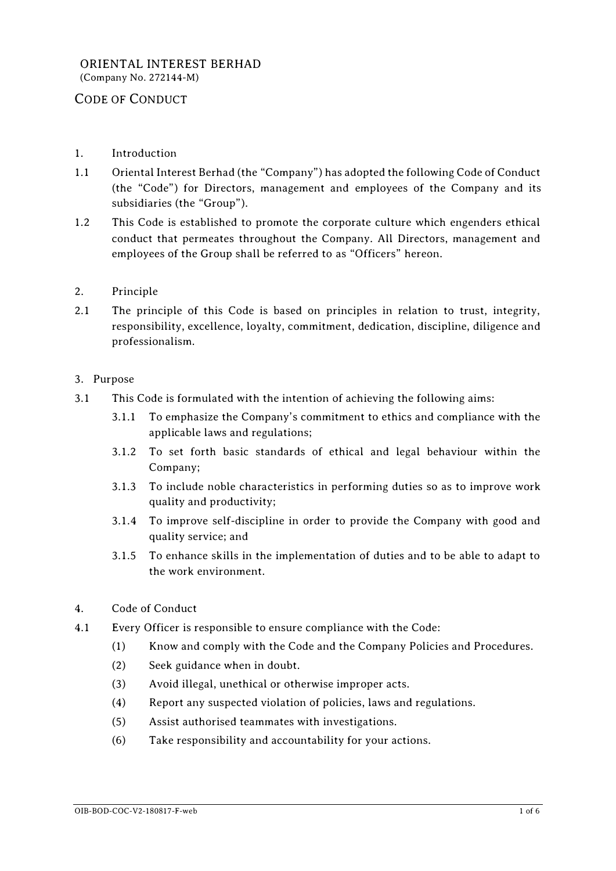- 1. Introduction
- 1.1 Oriental Interest Berhad (the "Company") has adopted the following Code of Conduct (the "Code") for Directors, management and employees of the Company and its subsidiaries (the "Group").
- 1.2 This Code is established to promote the corporate culture which engenders ethical conduct that permeates throughout the Company. All Directors, management and employees of the Group shall be referred to as "Officers" hereon.
- 2. Principle
- 2.1 The principle of this Code is based on principles in relation to trust, integrity, responsibility, excellence, loyalty, commitment, dedication, discipline, diligence and professionalism.

## 3. Purpose

- 3.1 This Code is formulated with the intention of achieving the following aims:
	- 3.1.1 To emphasize the Company's commitment to ethics and compliance with the applicable laws and regulations;
	- 3.1.2 To set forth basic standards of ethical and legal behaviour within the Company;
	- 3.1.3 To include noble characteristics in performing duties so as to improve work quality and productivity;
	- 3.1.4 To improve self-discipline in order to provide the Company with good and quality service; and
	- 3.1.5 To enhance skills in the implementation of duties and to be able to adapt to the work environment.
- 4. Code of Conduct
- 4.1 Every Officer is responsible to ensure compliance with the Code:
	- (1) Know and comply with the Code and the Company Policies and Procedures.
	- (2) Seek guidance when in doubt.
	- (3) Avoid illegal, unethical or otherwise improper acts.
	- (4) Report any suspected violation of policies, laws and regulations.
	- (5) Assist authorised teammates with investigations.
	- (6) Take responsibility and accountability for your actions.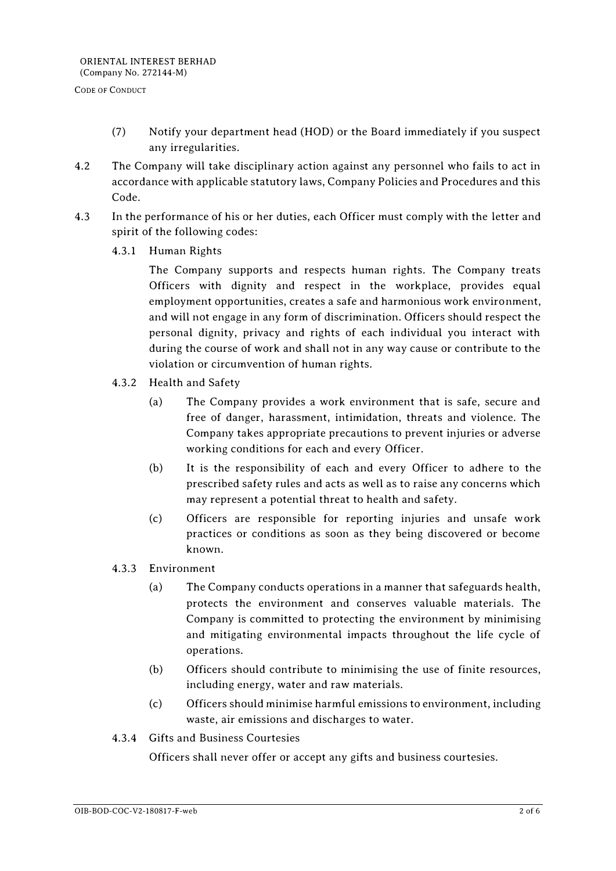- (7) Notify your department head (HOD) or the Board immediately if you suspect any irregularities.
- 4.2 The Company will take disciplinary action against any personnel who fails to act in accordance with applicable statutory laws, Company Policies and Procedures and this Code.
- 4.3 In the performance of his or her duties, each Officer must comply with the letter and spirit of the following codes:
	- 4.3.1 Human Rights

The Company supports and respects human rights. The Company treats Officers with dignity and respect in the workplace, provides equal employment opportunities, creates a safe and harmonious work environment, and will not engage in any form of discrimination. Officers should respect the personal dignity, privacy and rights of each individual you interact with during the course of work and shall not in any way cause or contribute to the violation or circumvention of human rights.

- 4.3.2 Health and Safety
	- (a) The Company provides a work environment that is safe, secure and free of danger, harassment, intimidation, threats and violence. The Company takes appropriate precautions to prevent injuries or adverse working conditions for each and every Officer.
	- (b) It is the responsibility of each and every Officer to adhere to the prescribed safety rules and acts as well as to raise any concerns which may represent a potential threat to health and safety.
	- (c) Officers are responsible for reporting injuries and unsafe work practices or conditions as soon as they being discovered or become known.
- 4.3.3 Environment
	- (a) The Company conducts operations in a manner that safeguards health, protects the environment and conserves valuable materials. The Company is committed to protecting the environment by minimising and mitigating environmental impacts throughout the life cycle of operations.
	- (b) Officers should contribute to minimising the use of finite resources, including energy, water and raw materials.
	- (c) Officers should minimise harmful emissions to environment, including waste, air emissions and discharges to water.
- 4.3.4 Gifts and Business Courtesies

Officers shall never offer or accept any gifts and business courtesies.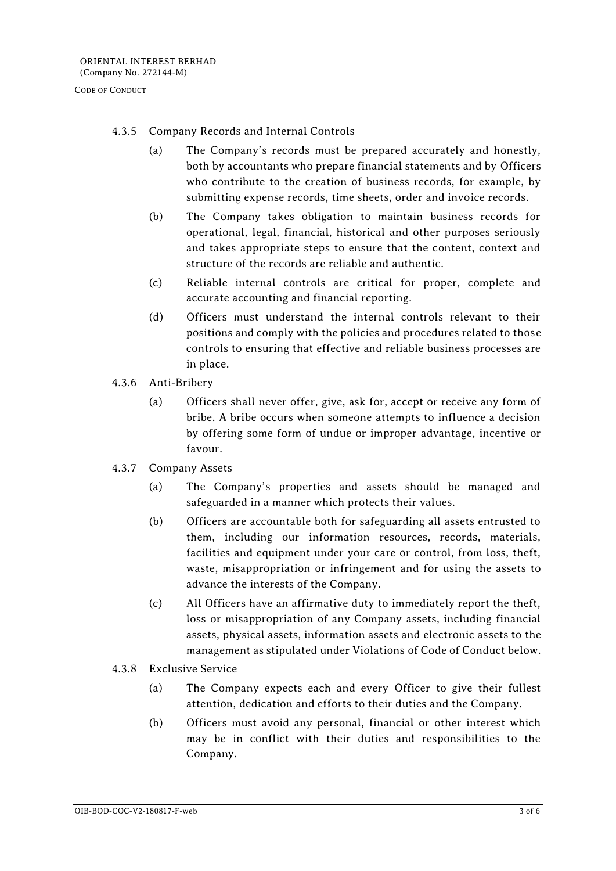## 4.3.5 Company Records and Internal Controls

- (a) The Company's records must be prepared accurately and honestly, both by accountants who prepare financial statements and by Officers who contribute to the creation of business records, for example, by submitting expense records, time sheets, order and invoice records.
- (b) The Company takes obligation to maintain business records for operational, legal, financial, historical and other purposes seriously and takes appropriate steps to ensure that the content, context and structure of the records are reliable and authentic.
- (c) Reliable internal controls are critical for proper, complete and accurate accounting and financial reporting.
- (d) Officers must understand the internal controls relevant to their positions and comply with the policies and procedures related to those controls to ensuring that effective and reliable business processes are in place.
- 4.3.6 Anti-Bribery
	- (a) Officers shall never offer, give, ask for, accept or receive any form of bribe. A bribe occurs when someone attempts to influence a decision by offering some form of undue or improper advantage, incentive or favour.
- 4.3.7 Company Assets
	- (a) The Company's properties and assets should be managed and safeguarded in a manner which protects their values.
	- (b) Officers are accountable both for safeguarding all assets entrusted to them, including our information resources, records, materials, facilities and equipment under your care or control, from loss, theft, waste, misappropriation or infringement and for using the assets to advance the interests of the Company.
	- (c) All Officers have an affirmative duty to immediately report the theft, loss or misappropriation of any Company assets, including financial assets, physical assets, information assets and electronic assets to the management as stipulated under Violations of Code of Conduct below.
- 4.3.8 Exclusive Service
	- (a) The Company expects each and every Officer to give their fullest attention, dedication and efforts to their duties and the Company.
	- (b) Officers must avoid any personal, financial or other interest which may be in conflict with their duties and responsibilities to the Company.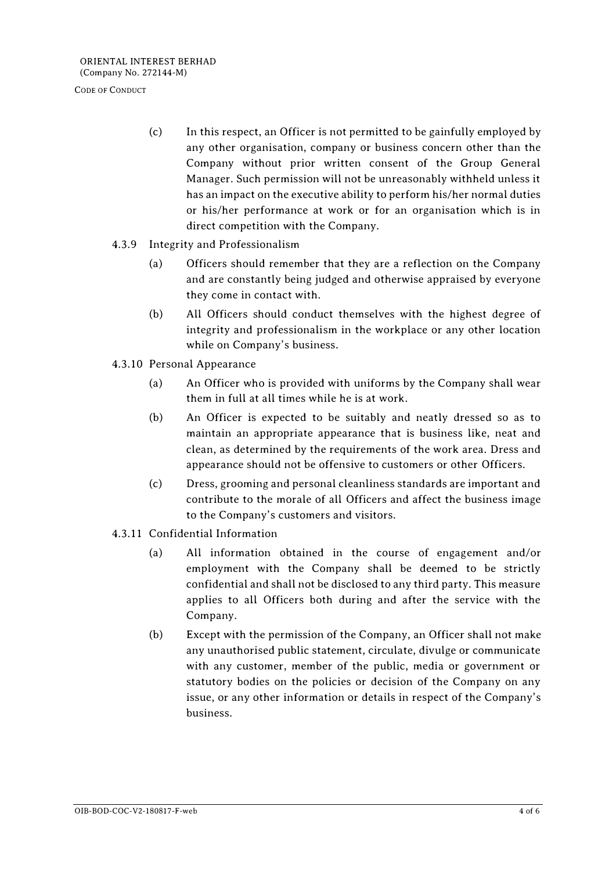- (c) In this respect, an Officer is not permitted to be gainfully employed by any other organisation, company or business concern other than the Company without prior written consent of the Group General Manager. Such permission will not be unreasonably withheld unless it has an impact on the executive ability to perform his/her normal duties or his/her performance at work or for an organisation which is in direct competition with the Company.
- 4.3.9 Integrity and Professionalism
	- (a) Officers should remember that they are a reflection on the Company and are constantly being judged and otherwise appraised by everyone they come in contact with.
	- (b) All Officers should conduct themselves with the highest degree of integrity and professionalism in the workplace or any other location while on Company's business.
- 4.3.10 Personal Appearance
	- (a) An Officer who is provided with uniforms by the Company shall wear them in full at all times while he is at work.
	- (b) An Officer is expected to be suitably and neatly dressed so as to maintain an appropriate appearance that is business like, neat and clean, as determined by the requirements of the work area. Dress and appearance should not be offensive to customers or other Officers.
	- (c) Dress, grooming and personal cleanliness standards are important and contribute to the morale of all Officers and affect the business image to the Company's customers and visitors.
- 4.3.11 Confidential Information
	- (a) All information obtained in the course of engagement and/or employment with the Company shall be deemed to be strictly confidential and shall not be disclosed to any third party. This measure applies to all Officers both during and after the service with the Company.
	- (b) Except with the permission of the Company, an Officer shall not make any unauthorised public statement, circulate, divulge or communicate with any customer, member of the public, media or government or statutory bodies on the policies or decision of the Company on any issue, or any other information or details in respect of the Company's business.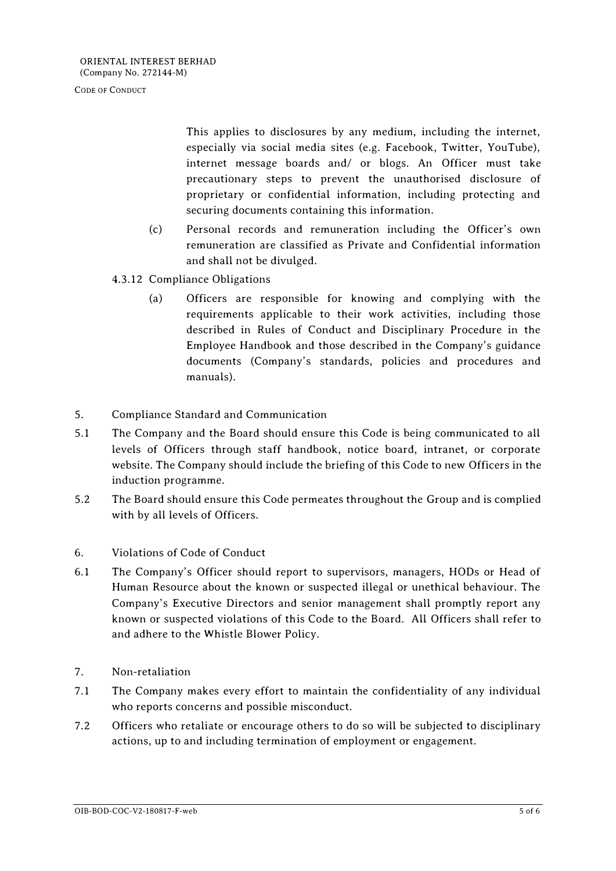This applies to disclosures by any medium, including the internet, especially via social media sites (e.g. Facebook, Twitter, YouTube), internet message boards and/ or blogs. An Officer must take precautionary steps to prevent the unauthorised disclosure of proprietary or confidential information, including protecting and securing documents containing this information.

- (c) Personal records and remuneration including the Officer's own remuneration are classified as Private and Confidential information and shall not be divulged.
- 4.3.12 Compliance Obligations
	- (a) Officers are responsible for knowing and complying with the requirements applicable to their work activities, including those described in Rules of Conduct and Disciplinary Procedure in the Employee Handbook and those described in the Company's guidance documents (Company's standards, policies and procedures and manuals).
- 5. Compliance Standard and Communication
- 5.1 The Company and the Board should ensure this Code is being communicated to all levels of Officers through staff handbook, notice board, intranet, or corporate website. The Company should include the briefing of this Code to new Officers in the induction programme.
- 5.2 The Board should ensure this Code permeates throughout the Group and is complied with by all levels of Officers.
- 6. Violations of Code of Conduct
- 6.1 The Company's Officer should report to supervisors, managers, HODs or Head of Human Resource about the known or suspected illegal or unethical behaviour. The Company's Executive Directors and senior management shall promptly report any known or suspected violations of this Code to the Board. All Officers shall refer to and adhere to the Whistle Blower Policy.
- 7. Non-retaliation
- 7.1 The Company makes every effort to maintain the confidentiality of any individual who reports concerns and possible misconduct.
- 7.2 Officers who retaliate or encourage others to do so will be subjected to disciplinary actions, up to and including termination of employment or engagement.